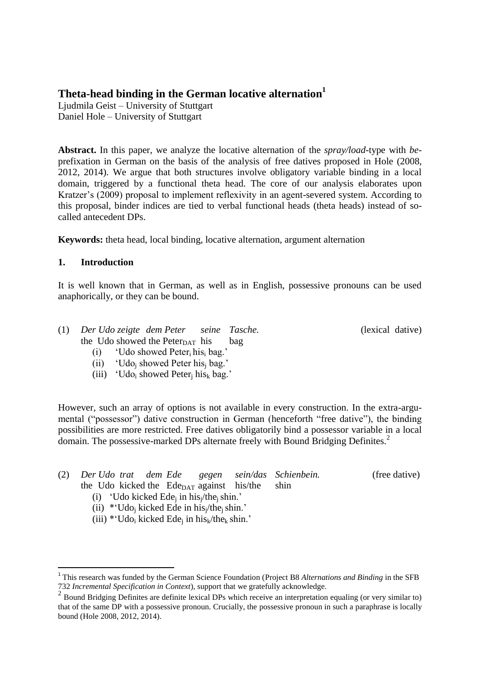# **Theta-head binding in the German locative alternation<sup>1</sup>**

Ljudmila Geist – University of Stuttgart Daniel Hole – University of Stuttgart

**Abstract.** In this paper, we analyze the locative alternation of the *spray/load*-type with *be*prefixation in German on the basis of the analysis of free datives proposed in Hole (2008, 2012, 2014). We argue that both structures involve obligatory variable binding in a local domain, triggered by a functional theta head. The core of our analysis elaborates upon Kratzer's (2009) proposal to implement reflexivity in an agent-severed system. According to this proposal, binder indices are tied to verbal functional heads (theta heads) instead of socalled antecedent DPs.

**Keywords:** theta head, local binding, locative alternation, argument alternation

### **1. Introduction**

-

It is well known that in German, as well as in English, possessive pronouns can be used anaphorically, or they can be bound.

(lexical dative)

|  | (1) Der Udo zeigte dem Peter                 | seine Tasche. |
|--|----------------------------------------------|---------------|
|  | the Udo showed the Peter $_{\text{DAT}}$ his | bag           |

- (i) 'Udo showed Peteri his<sup>i</sup> bag.'
- (ii) 'Udo<sup>j</sup> showed Peter his<sup>j</sup> bag.'
- (iii) 'Udo<sub>i</sub> showed Peter<sub>i</sub> his<sub>k</sub> bag.'

However, such an array of options is not available in every construction. In the extra-argumental ("possessor") dative construction in German (henceforth "free dative"), the binding possibilities are more restricted. Free datives obligatorily bind a possessor variable in a local domain. The possessive-marked DPs alternate freely with Bound Bridging Definites.<sup>2</sup>

|  |  |  |                                                            | (2) Der Udo trat dem Ede gegen sein/das Schienbein. | (free dative) |
|--|--|--|------------------------------------------------------------|-----------------------------------------------------|---------------|
|  |  |  | the Udo kicked the Ede <sub>DAT</sub> against his/the shin |                                                     |               |

- (i) 'Udo kicked Ede<sub>i</sub> in his $/$ the<sub>i</sub> shin.'
- (ii)  $*UdO<sub>i</sub>$  kicked Ede in his<sub>i</sub>/the<sub>i</sub> shin.'
- (iii) \*'Udo<sub>i</sub> kicked Ede<sub>i</sub> in his<sub>k</sub>/the<sub>k</sub> shin.'

<sup>&</sup>lt;sup>1</sup> This research was funded by the German Science Foundation (Project B8 *Alternations and Binding* in the SFB 732 *Incremental Specification in Context*), support that we gratefully acknowledge.

<sup>&</sup>lt;sup>2</sup> Bound Bridging Definites are definite lexical DPs which receive an interpretation equaling (or very similar to) that of the same DP with a possessive pronoun. Crucially, the possessive pronoun in such a paraphrase is locally bound (Hole 2008, 2012, 2014).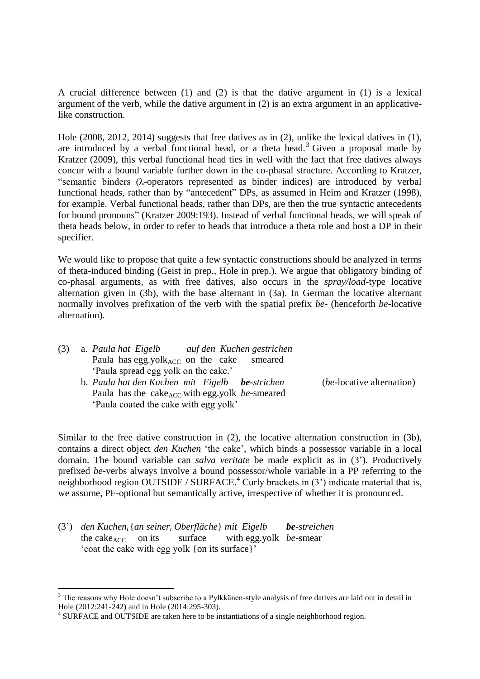A crucial difference between (1) and (2) is that the dative argument in (1) is a lexical argument of the verb, while the dative argument in (2) is an extra argument in an applicativelike construction.

Hole (2008, 2012, 2014) suggests that free datives as in (2), unlike the lexical datives in (1), are introduced by a verbal functional head, or a theta head.<sup>3</sup> Given a proposal made by Kratzer (2009), this verbal functional head ties in well with the fact that free datives always concur with a bound variable further down in the co-phasal structure. According to Kratzer, "semantic binders (λ-operators represented as binder indices) are introduced by verbal functional heads, rather than by "antecedent" DPs, as assumed in Heim and Kratzer (1998), for example. Verbal functional heads, rather than DPs, are then the true syntactic antecedents for bound pronouns" (Kratzer 2009:193). Instead of verbal functional heads, we will speak of theta heads below, in order to refer to heads that introduce a theta role and host a DP in their specifier.

We would like to propose that quite a few syntactic constructions should be analyzed in terms of theta-induced binding (Geist in prep., Hole in prep.). We argue that obligatory binding of co-phasal arguments, as with free datives, also occurs in the *spray/load*-type locative alternation given in (3b), with the base alternant in (3a). In German the locative alternant normally involves prefixation of the verb with the spatial prefix *be-* (henceforth *be*-locative alternation).

| (3) | a. Paula hat Eigelb                     | auf den Kuchen gestrichen                                          |                                  |
|-----|-----------------------------------------|--------------------------------------------------------------------|----------------------------------|
|     | Paula has egg.yol $k_{ACC}$ on the cake | smeared                                                            |                                  |
|     | 'Paula spread egg yolk on the cake.'    |                                                                    |                                  |
|     |                                         | b. Paula hat den Kuchen mit Eigelb be-strichen                     | <i>(be-locative alternation)</i> |
|     |                                         | Paula has the cake <sub>ACC</sub> with egg.yolk <i>be</i> -smeared |                                  |
|     | 'Paula coated the cake with egg yolk'   |                                                                    |                                  |

Similar to the free dative construction in (2), the locative alternation construction in (3b), contains a direct object *den Kuchen* 'the cake', which binds a possessor variable in a local domain. The bound variable can *salva veritate* be made explicit as in (3'). Productively prefixed *be*-verbs always involve a bound possessor/whole variable in a PP referring to the neighborhood region OUTSIDE / SURFACE.<sup>4</sup> Curly brackets in  $(3')$  indicate material that is, we assume, PF-optional but semantically active, irrespective of whether it is pronounced.

(3') *den Kucheni*{*an seiner<sup>i</sup> Oberfläche*} *mit Eigelb be-streichen* the cake<sub>ACC</sub> on its surface with egg.yolk *be*-smear 'coat the cake with egg yolk {on its surface}'

-

 $3$  The reasons why Hole doesn't subscribe to a Pylkkänen-style analysis of free datives are laid out in detail in Hole (2012:241-242) and in Hole (2014:295-303).

<sup>&</sup>lt;sup>4</sup> SURFACE and OUTSIDE are taken here to be instantiations of a single neighborhood region.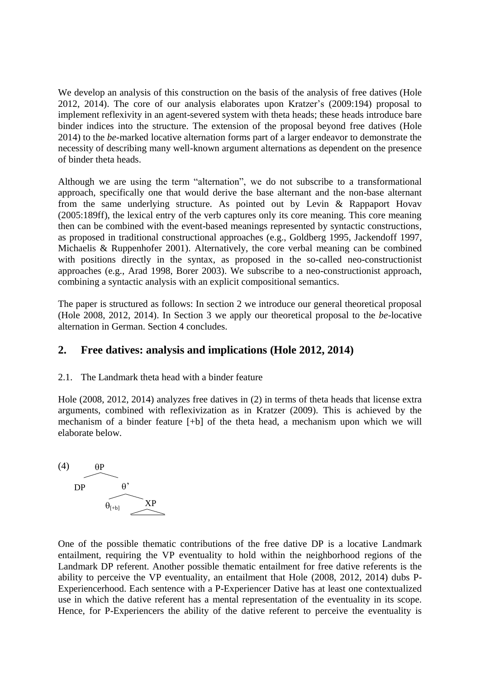We develop an analysis of this construction on the basis of the analysis of free datives (Hole 2012, 2014). The core of our analysis elaborates upon Kratzer's (2009:194) proposal to implement reflexivity in an agent-severed system with theta heads; these heads introduce bare binder indices into the structure. The extension of the proposal beyond free datives (Hole 2014) to the *be*-marked locative alternation forms part of a larger endeavor to demonstrate the necessity of describing many well-known argument alternations as dependent on the presence of binder theta heads.

Although we are using the term "alternation", we do not subscribe to a transformational approach, specifically one that would derive the base alternant and the non-base alternant from the same underlying structure. As pointed out by Levin & Rappaport Hovav (2005:189ff), the lexical entry of the verb captures only its core meaning. This core meaning then can be combined with the event-based meanings represented by syntactic constructions, as proposed in traditional constructional approaches (e.g., Goldberg 1995, Jackendoff 1997, Michaelis & Ruppenhofer 2001). Alternatively, the core verbal meaning can be combined with positions directly in the syntax, as proposed in the so-called neo-constructionist approaches (e.g., Arad 1998, Borer 2003). We subscribe to a neo-constructionist approach, combining a syntactic analysis with an explicit compositional semantics.

The paper is structured as follows: In section 2 we introduce our general theoretical proposal (Hole 2008, 2012, 2014). In Section 3 we apply our theoretical proposal to the *be*-locative alternation in German. Section 4 concludes.

## **2. Free datives: analysis and implications (Hole 2012, 2014)**

### 2.1. The Landmark theta head with a binder feature

Hole (2008, 2012, 2014) analyzes free datives in (2) in terms of theta heads that license extra arguments, combined with reflexivization as in Kratzer (2009). This is achieved by the mechanism of a binder feature [+b] of the theta head, a mechanism upon which we will elaborate below.



One of the possible thematic contributions of the free dative DP is a locative Landmark entailment, requiring the VP eventuality to hold within the neighborhood regions of the Landmark DP referent. Another possible thematic entailment for free dative referents is the ability to perceive the VP eventuality, an entailment that Hole (2008, 2012, 2014) dubs P-Experiencerhood. Each sentence with a P-Experiencer Dative has at least one contextualized use in which the dative referent has a mental representation of the eventuality in its scope. Hence, for P-Experiencers the ability of the dative referent to perceive the eventuality is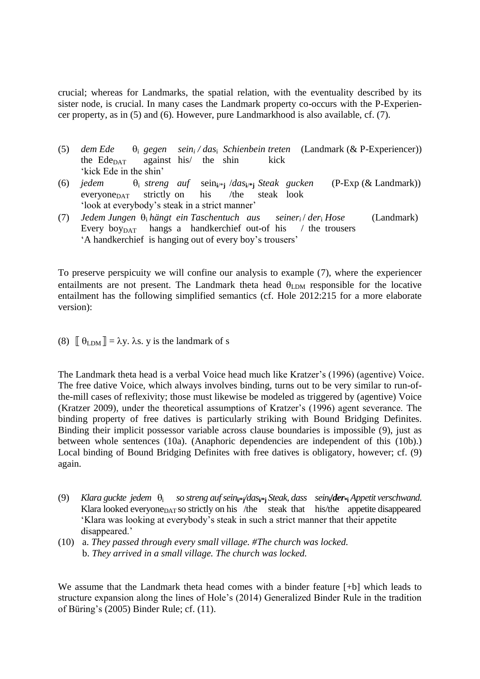crucial; whereas for Landmarks, the spatial relation, with the eventuality described by its sister node, is crucial. In many cases the Landmark property co-occurs with the P-Experiencer property, as in (5) and (6). However, pure Landmarkhood is also available, cf. (7).

- (5) *dem Ede* <sup>i</sup> *gegen sein<sup>i</sup> / das*<sup>i</sup> *Schienbein treten* (Landmark (& P-Experiencer)) the Ede $_{\text{DATA}}$  against his/ the shin kick 'kick Ede in the shin'
- (6) *jedem* <sup>i</sup> *streng auf* sein**i**/\***<sup>j</sup>** /*das***i**/**\*j** *Steak gucken* (P-Exp (& Landmark)) everyone $_{\text{DATA}}$  strictly on his /the steak look 'look at everybody's steak in a strict manner'
- (7) *Jedem Jungen*  $\theta_i$  *hängt ein Taschentuch aus seiner*<sub>*i*</sub> / *der*<sub>i</sub> *Hose* (Landmark) Every boy<sub>DAT</sub> hangs a handkerchief out-of his  $\ell$  the trousers 'A handkerchief is hanging out of every boy's trousers'

To preserve perspicuity we will confine our analysis to example (7), where the experiencer entailments are not present. The Landmark theta head  $\theta_{LDM}$  responsible for the locative entailment has the following simplified semantics (cf. Hole 2012:215 for a more elaborate version):

(8)  $\begin{bmatrix} \theta_{\text{LDM}} \end{bmatrix} = \lambda y$ .  $\lambda$ s. y is the landmark of s

The Landmark theta head is a verbal Voice head much like Kratzer's (1996) (agentive) Voice. The free dative Voice, which always involves binding, turns out to be very similar to run-ofthe-mill cases of reflexivity; those must likewise be modeled as triggered by (agentive) Voice (Kratzer 2009), under the theoretical assumptions of Kratzer's (1996) agent severance. The binding property of free datives is particularly striking with Bound Bridging Definites. Binding their implicit possessor variable across clause boundaries is impossible (9), just as between whole sentences (10a). (Anaphoric dependencies are independent of this (10b).) Local binding of Bound Bridging Definites with free datives is obligatory, however; cf. (9) again.

- (9) *Klara guckte jedem* <sup>i</sup>  *so streng auf sein***i/\*j***/das***i/\*j** *Steak, dass sein***i/***der***\*i** *Appetit verschwand.* Klara looked everyone $_{\text{DATA}}$  so strictly on his /the steak that his/the appetite disappeared 'Klara was looking at everybody's steak in such a strict manner that their appetite disappeared.'
- (10) a. *They passed through every small village. #The church was locked.* b. *They arrived in a small village. The church was locked.*

We assume that the Landmark theta head comes with a binder feature [+b] which leads to structure expansion along the lines of Hole's (2014) Generalized Binder Rule in the tradition of Büring's (2005) Binder Rule; cf. (11).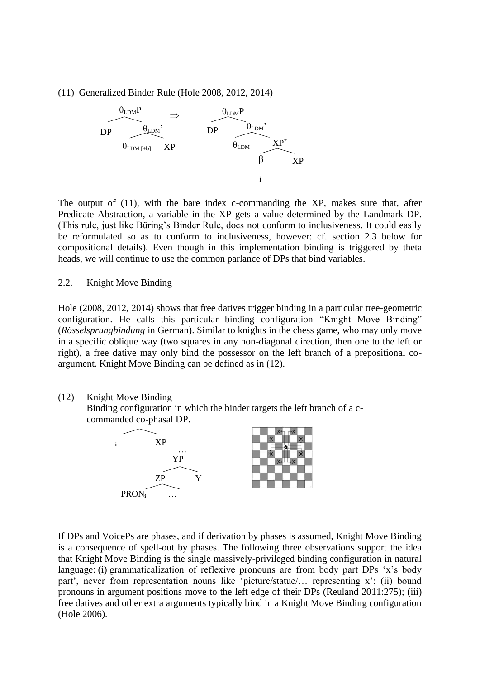(11) Generalized Binder Rule (Hole 2008, 2012, 2014)



The output of (11), with the bare index c-commanding the XP, makes sure that, after Predicate Abstraction, a variable in the XP gets a value determined by the Landmark DP. (This rule, just like Büring's Binder Rule, does not conform to inclusiveness. It could easily be reformulated so as to conform to inclusiveness, however: cf. section 2.3 below for compositional details). Even though in this implementation binding is triggered by theta heads, we will continue to use the common parlance of DPs that bind variables.

### 2.2. Knight Move Binding

Hole (2008, 2012, 2014) shows that free datives trigger binding in a particular tree-geometric configuration. He calls this particular binding configuration "Knight Move Binding" (*Rösselsprungbindung* in German). Similar to knights in the chess game, who may only move in a specific oblique way (two squares in any non-diagonal direction, then one to the left or right), a free dative may only bind the possessor on the left branch of a prepositional coargument. Knight Move Binding can be defined as in (12).

(12) Knight Move Binding

Binding configuration in which the binder targets the left branch of a ccommanded co-phasal DP.



If DPs and VoicePs are phases, and if derivation by phases is assumed, Knight Move Binding is a consequence of spell-out by phases. The following three observations support the idea that Knight Move Binding is the single massively-privileged binding configuration in natural language: (i) grammaticalization of reflexive pronouns are from body part DPs 'x's body part', never from representation nouns like 'picture/statue/… representing x'; (ii) bound pronouns in argument positions move to the left edge of their DPs (Reuland 2011:275); (iii) free datives and other extra arguments typically bind in a Knight Move Binding configuration (Hole 2006).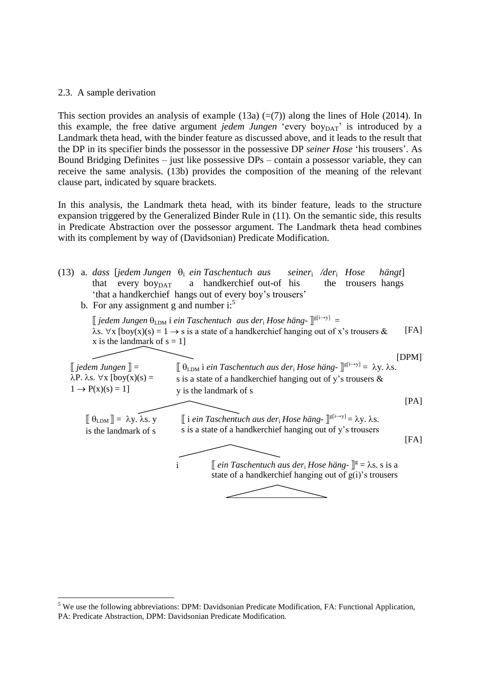### 2.3. A sample derivation

-

This section provides an analysis of example (13a)  $(=(7))$  along the lines of Hole (2014). In this example, the free dative argument *jedem Jungen* 'every boy<sub>DAT</sub>' is introduced by a Landmark theta head, with the binder feature as discussed above, and it leads to the result that the DP in its specifier binds the possessor in the possessive DP *seiner Hose* 'his trousers'. As Bound Bridging Definites – just like possessive DPs – contain a possessor variable, they can receive the same analysis. (13b) provides the composition of the meaning of the relevant clause part, indicated by square brackets.

In this analysis, the Landmark theta head, with its binder feature, leads to the structure expansion triggered by the Generalized Binder Rule in (11). On the semantic side, this results in Predicate Abstraction over the possessor argument. The Landmark theta head combines with its complement by way of (Davidsonian) Predicate Modification.



 $\prod_{i=1}^{n}$ PA: Predicate Abstraction, DPM: Davidsonian Predicate Modification.  $<sup>5</sup>$  We use the following abbreviations: DPM: Davidsonian Predicate Modification, FA: Functional Application,</sup>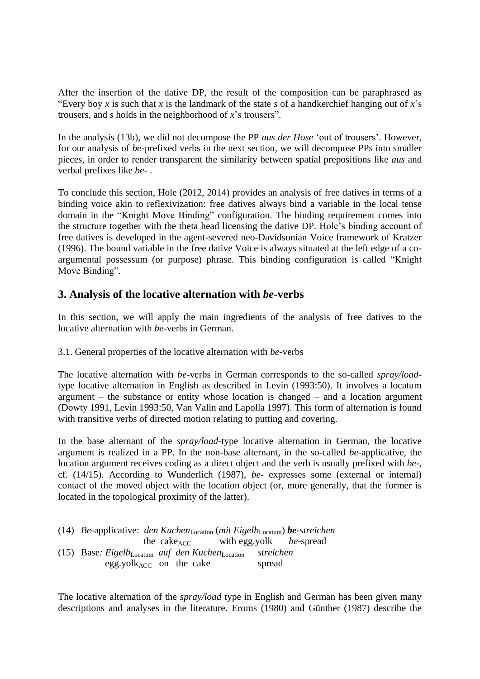After the insertion of the dative DP, the result of the composition can be paraphrased as "Every boy *x* is such that *x* is the landmark of the state *s* of a handkerchief hanging out of *x*'s trousers, and *s* holds in the neighborhood of *x*'s trousers".

In the analysis (13b), we did not decompose the PP *aus der Hose* 'out of trousers'. However, for our analysis of *be*-prefixed verbs in the next section, we will decompose PPs into smaller pieces, in order to render transparent the similarity between spatial prepositions like *aus* and verbal prefixes like *be-* .

To conclude this section, Hole (2012, 2014) provides an analysis of free datives in terms of a binding voice akin to reflexivization: free datives always bind a variable in the local tense domain in the "Knight Move Binding" configuration. The binding requirement comes into the structure together with the theta head licensing the dative DP. Hole's binding account of free datives is developed in the agent-severed neo-Davidsonian Voice framework of Kratzer (1996). The bound variable in the free dative Voice is always situated at the left edge of a coargumental possessum (or purpose) phrase. This binding configuration is called "Knight Move Binding".

## **3. Analysis of the locative alternation with** *be***-verbs**

In this section, we will apply the main ingredients of the analysis of free datives to the locative alternation with *be*-verbs in German.

3.1. General properties of the locative alternation with *be-*verbs

The locative alternation with *be*-verbs in German corresponds to the so-called *spray/load*type locative alternation in English as described in Levin (1993:50). It involves a locatum argument – the substance or entity whose location is changed – and a location argument (Dowty 1991, Levin 1993:50, Van Valin and Lapolla 1997). This form of alternation is found with transitive verbs of directed motion relating to putting and covering.

In the base alternant of the *spray/load*-type locative alternation in German, the locative argument is realized in a PP. In the non-base alternant, in the so-called *be*-applicative, the location argument receives coding as a direct object and the verb is usually prefixed with *be*-, cf. (14/15). According to Wunderlich (1987), *be-* expresses some (external or internal) contact of the moved object with the location object (or, more generally, that the former is located in the topological proximity of the latter).

| (14) Be-applicative: den Kuchen <sub>Location</sub> (mit Eigelb <sub>Locatum</sub> ) be-streichen |                                                         |        |
|---------------------------------------------------------------------------------------------------|---------------------------------------------------------|--------|
|                                                                                                   | the cake <sub>ACC</sub> with egg.yolk <i>be</i> -spread |        |
| (15) Base: Eigelb <sub>Locatum</sub> auf den Kuchen <sub>Location</sub> streichen                 |                                                         |        |
| egg.yol $k_{ACC}$ on the cake                                                                     |                                                         | spread |

The locative alternation of the *spray/load* type in English and German has been given many descriptions and analyses in the literature. Eroms (1980) and Günther (1987) describe the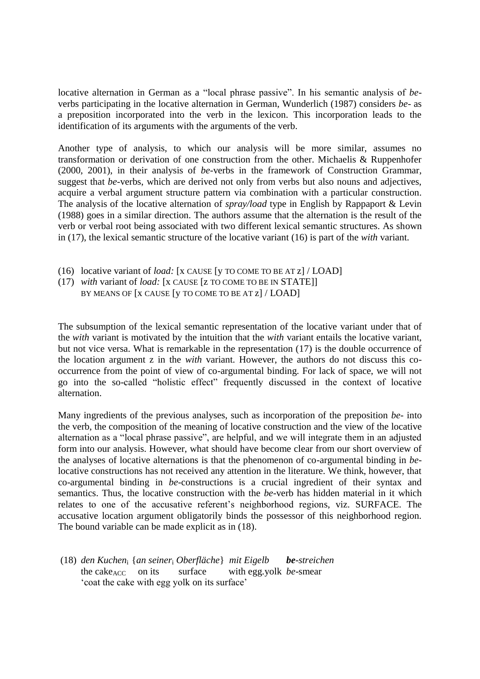locative alternation in German as a "local phrase passive". In his semantic analysis of *be*verbs participating in the locative alternation in German, Wunderlich (1987) considers *be*- as a preposition incorporated into the verb in the lexicon. This incorporation leads to the identification of its arguments with the arguments of the verb.

Another type of analysis, to which our analysis will be more similar, assumes no transformation or derivation of one construction from the other. Michaelis & Ruppenhofer (2000, 2001), in their analysis of *be*-verbs in the framework of Construction Grammar, suggest that *be*-verbs, which are derived not only from verbs but also nouns and adjectives, acquire a verbal argument structure pattern via combination with a particular construction. The analysis of the locative alternation of *spray/load* type in English by Rappaport & Levin (1988) goes in a similar direction. The authors assume that the alternation is the result of the verb or verbal root being associated with two different lexical semantic structures. As shown in (17), the lexical semantic structure of the locative variant (16) is part of the *with* variant.

- (16) locative variant of *load:* [x CAUSE [y TO COME TO BE AT z] / LOAD]
- (17) *with* variant of *load:* [x CAUSE [z TO COME TO BE IN STATE]] BY MEANS OF [X CAUSE [Y TO COME TO BE AT  $z$ ] / LOAD]

The subsumption of the lexical semantic representation of the locative variant under that of the *with* variant is motivated by the intuition that the *with* variant entails the locative variant, but not vice versa. What is remarkable in the representation (17) is the double occurrence of the location argument z in the *with* variant. However, the authors do not discuss this cooccurrence from the point of view of co-argumental binding. For lack of space, we will not go into the so-called "holistic effect" frequently discussed in the context of locative alternation.

Many ingredients of the previous analyses, such as incorporation of the preposition *be-* into the verb, the composition of the meaning of locative construction and the view of the locative alternation as a "local phrase passive", are helpful, and we will integrate them in an adjusted form into our analysis. However, what should have become clear from our short overview of the analyses of locative alternations is that the phenomenon of co-argumental binding in *be*locative constructions has not received any attention in the literature. We think, however, that co-argumental binding in *be*-constructions is a crucial ingredient of their syntax and semantics. Thus, the locative construction with the *be*-verb has hidden material in it which relates to one of the accusative referent's neighborhood regions, viz. SURFACE. The accusative location argument obligatorily binds the possessor of this neighborhood region. The bound variable can be made explicit as in (18).

(18) *den Kuchen*<sup>i</sup> {*an seiner*<sup>i</sup> *Oberfläche*} *mit Eigelb be-streichen* the cake<sub>ACC</sub> on its surface with egg.yolk *be*-smear 'coat the cake with egg yolk on its surface'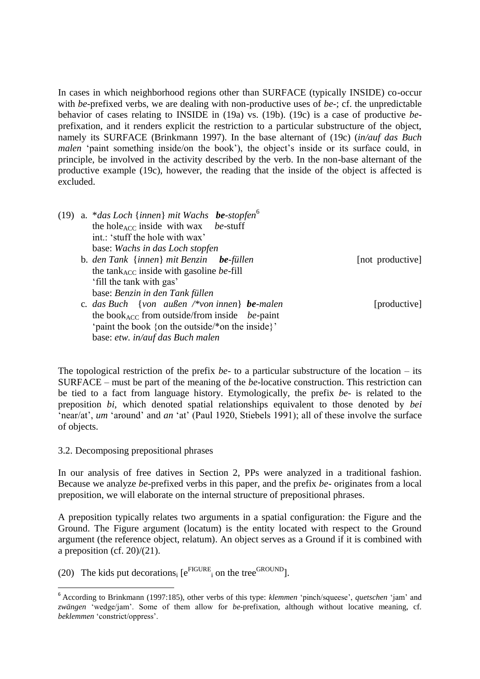In cases in which neighborhood regions other than SURFACE (typically INSIDE) co-occur with *be-*prefixed verbs, we are dealing with non-productive uses of *be-*; cf. the unpredictable behavior of cases relating to INSIDE in (19a) vs. (19b). (19c) is a case of productive *be*prefixation, and it renders explicit the restriction to a particular substructure of the object, namely its SURFACE (Brinkmann 1997). In the base alternant of (19c) (*in/auf das Buch malen* 'paint something inside/on the book'), the object's inside or its surface could, in principle, be involved in the activity described by the verb. In the non-base alternant of the productive example (19c), however, the reading that the inside of the object is affected is excluded.

|  | (19) a. * <i>das Loch</i> { <i>innen</i> } <i>mit Wachs be-stopfen</i> <sup>6</sup> |                  |
|--|-------------------------------------------------------------------------------------|------------------|
|  | the hole <sub>ACC</sub> inside with wax <i>be</i> -stuff                            |                  |
|  | int.: 'stuff the hole with wax'                                                     |                  |
|  | base: Wachs in das Loch stopfen                                                     |                  |
|  | b. den Tank $\{inner\}$ mit Benzin be-füllen                                        | [not productive] |
|  | the tank <sub>ACC</sub> inside with gasoline <i>be</i> -fill                        |                  |
|  | 'fill the tank with gas'                                                            |                  |
|  | base: Benzin in den Tank füllen                                                     |                  |
|  | c. das Buch {von außen /*von innen} be-malen                                        | [productive]     |
|  | the book <sub>ACC</sub> from outside/from inside <i>be</i> -paint                   |                  |
|  | 'paint the book {on the outside/*on the inside}'                                    |                  |

base: *etw. in/auf das Buch malen*

The topological restriction of the prefix *be-* to a particular substructure of the location – its SURFACE – must be part of the meaning of the *be*-locative construction. This restriction can be tied to a fact from language history. Etymologically, the prefix *be-* is related to the preposition *bi*, which denoted spatial relationships equivalent to those denoted by *bei*  'near/at', *um* 'around' and *an* 'at' (Paul 1920, Stiebels 1991); all of these involve the surface of objects.

3.2. Decomposing prepositional phrases

-

In our analysis of free datives in Section 2, PPs were analyzed in a traditional fashion. Because we analyze *be*-prefixed verbs in this paper, and the prefix *be-* originates from a local preposition, we will elaborate on the internal structure of prepositional phrases.

A preposition typically relates two arguments in a spatial configuration: the Figure and the Ground. The Figure argument (locatum) is the entity located with respect to the Ground argument (the reference object, relatum). An object serves as a Ground if it is combined with a preposition (cf.  $20/(21)$ ).

(20) The kids put decorations<sub>i</sub> [ $e^{FIGURE}$ <sub>i</sub> on the tree<sup>GROUND</sup>].

<sup>6</sup> According to Brinkmann (1997:185), other verbs of this type: *klemmen* 'pinch/squeese', *quetschen* 'jam' and *zwängen* 'wedge/jam'. Some of them allow for *be*-prefixation, although without locative meaning, cf. *beklemmen* 'constrict/oppress'.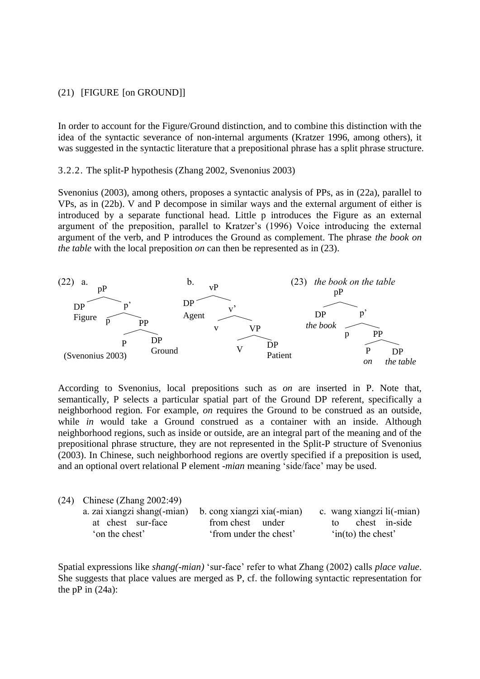### (21) [FIGURE [on GROUND]]

In order to account for the Figure/Ground distinction, and to combine this distinction with the idea of the syntactic severance of non-internal arguments (Kratzer 1996, among others), it was suggested in the syntactic literature that a prepositional phrase has a split phrase structure.

3.2.2. The split-P hypothesis (Zhang 2002, Svenonius 2003)

Svenonius (2003), among others, proposes a syntactic analysis of PPs, as in (22a), parallel to VPs, as in (22b). V and P decompose in similar ways and the external argument of either is introduced by a separate functional head. Little p introduces the Figure as an external argument of the preposition, parallel to Kratzer's (1996) Voice introducing the external argument of the verb, and P introduces the Ground as complement. The phrase *the book on the table* with the local preposition *on* can then be represented as in (23).



According to Svenonius, local prepositions such as *on* are inserted in P. Note that, semantically, P selects a particular spatial part of the Ground DP referent, specifically a neighborhood region. For example, *on* requires the Ground to be construed as an outside, while *in* would take a Ground construed as a container with an inside. Although neighborhood regions, such as inside or outside, are an integral part of the meaning and of the prepositional phrase structure, they are not represented in the Split-P structure of Svenonius (2003). In Chinese, such neighborhood regions are overtly specified if a preposition is used, and an optional overt relational P element -*mian* meaning 'side/face' may be used.

| $(24)$ Chinese (Zhang 2002:49) |                            |                              |
|--------------------------------|----------------------------|------------------------------|
| a. zai xiangzi shang(-mian)    | b. cong xiangzi xia(-mian) | c. wang xiangzi li(-mian)    |
| at chest sur-face              | from chest under           | chest in-side<br>to          |
| 'on the chest'                 | 'from under the chest'     | $\sin(\text{to})$ the chest' |

Spatial expressions like *shang(-mian)* 'sur-face' refer to what Zhang (2002) calls *place value*. She suggests that place values are merged as P, cf. the following syntactic representation for the  $pP$  in  $(24a)$ :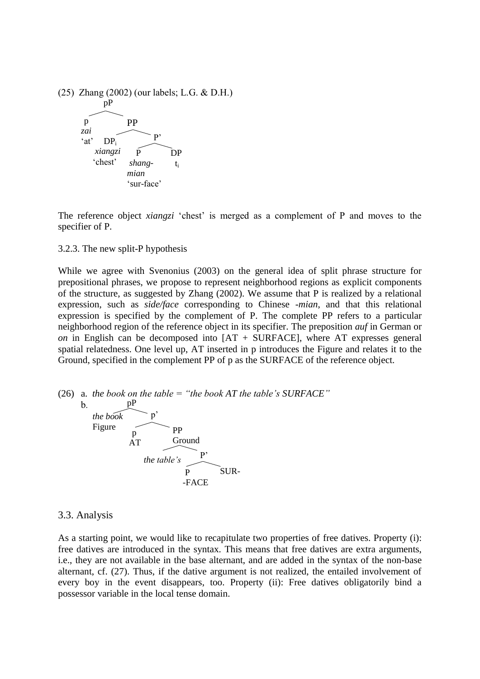

The reference object *xiangzi* 'chest' is merged as a complement of P and moves to the specifier of P.

3.2.3. The new split-P hypothesis

While we agree with Svenonius (2003) on the general idea of split phrase structure for prepositional phrases, we propose to represent neighborhood regions as explicit components of the structure, as suggested by Zhang (2002). We assume that P is realized by a relational expression, such as *side/face* corresponding to Chinese *-mian*, and that this relational expression is specified by the complement of P. The complete PP refers to a particular neighborhood region of the reference object in its specifier. The preposition *auf* in German or *on* in English can be decomposed into [AT + SURFACE], where AT expresses general spatial relatedness. One level up, AT inserted in p introduces the Figure and relates it to the Ground, specified in the complement PP of p as the SURFACE of the reference object.



### 3.3. Analysis

As a starting point, we would like to recapitulate two properties of free datives. Property (i): free datives are introduced in the syntax. This means that free datives are extra arguments, i.e., they are not available in the base alternant, and are added in the syntax of the non-base alternant, cf. (27). Thus, if the dative argument is not realized, the entailed involvement of every boy in the event disappears, too. Property (ii): Free datives obligatorily bind a possessor variable in the local tense domain.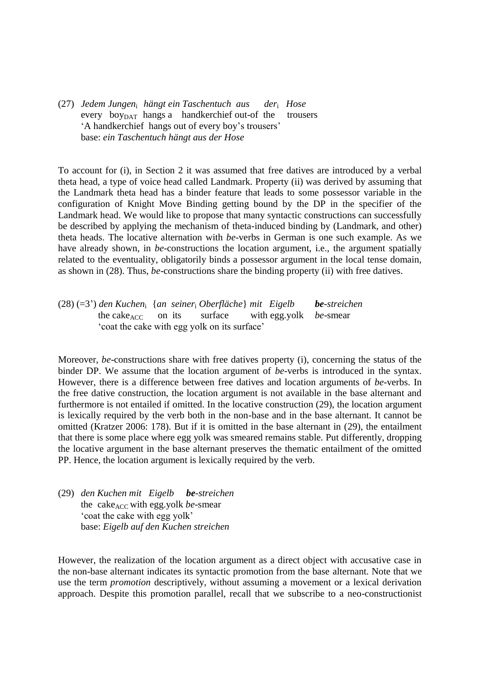(27) *Jedem Jungen*<sub>i</sub> *hängt ein Taschentuch aus Hose* every  $\frac{1}{2}$  boy<sub>DAT</sub> hangs a handkerchief out-of the trousers 'A handkerchief hangs out of every boy's trousers' base: *ein Taschentuch hängt aus der Hose*

To account for (i), in Section 2 it was assumed that free datives are introduced by a verbal theta head, a type of voice head called Landmark. Property (ii) was derived by assuming that the Landmark theta head has a binder feature that leads to some possessor variable in the configuration of Knight Move Binding getting bound by the DP in the specifier of the Landmark head. We would like to propose that many syntactic constructions can successfully be described by applying the mechanism of theta-induced binding by (Landmark, and other) theta heads. The locative alternation with *be*-verbs in German is one such example. As we have already shown, in *be*-constructions the location argument, i.e., the argument spatially related to the eventuality, obligatorily binds a possessor argument in the local tense domain, as shown in (28). Thus, *be*-constructions share the binding property (ii) with free datives.

(28) (=3') *den Kuchen*<sup>i</sup>{*an seiner*<sup>i</sup> *Oberfläche*} *mit Eigelb be-streichen* the cake<sub>ACC</sub> on its surface with egg.yolk *be*-smear 'coat the cake with egg yolk on its surface'

Moreover, *be*-constructions share with free datives property (i), concerning the status of the binder DP. We assume that the location argument of *be*-verbs is introduced in the syntax. However, there is a difference between free datives and location arguments of *be*-verbs. In the free dative construction, the location argument is not available in the base alternant and furthermore is not entailed if omitted. In the locative construction (29), the location argument is lexically required by the verb both in the non-base and in the base alternant. It cannot be omitted (Kratzer 2006: 178). But if it is omitted in the base alternant in (29), the entailment that there is some place where egg yolk was smeared remains stable. Put differently, dropping the locative argument in the base alternant preserves the thematic entailment of the omitted PP. Hence, the location argument is lexically required by the verb.

(29) *den Kuchen mit Eigelb be-streichen* the cake<sub>ACC</sub> with egg.yolk *be*-smear 'coat the cake with egg yolk' base: *Eigelb auf den Kuchen streichen*

However, the realization of the location argument as a direct object with accusative case in the non-base alternant indicates its syntactic promotion from the base alternant. Note that we use the term *promotion* descriptively, without assuming a movement or a lexical derivation approach. Despite this promotion parallel, recall that we subscribe to a neo-constructionist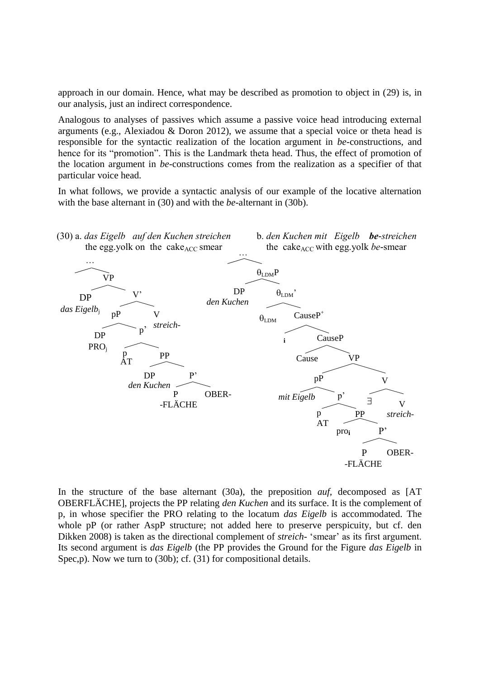approach in our domain. Hence, what may be described as promotion to object in (29) is, in our analysis, just an indirect correspondence.

Analogous to analyses of passives which assume a passive voice head introducing external arguments (e.g., Alexiadou & Doron 2012), we assume that a special voice or theta head is responsible for the syntactic realization of the location argument in *be*-constructions, and hence for its "promotion". This is the Landmark theta head. Thus, the effect of promotion of the location argument in *be-*constructions comes from the realization as a specifier of that particular voice head.

In what follows, we provide a syntactic analysis of our example of the locative alternation with the base alternant in (30) and with the *be*-alternant in (30b).



In the structure of the base alternant (30a), the preposition *auf,* decomposed as [AT OBERFLÄCHE], projects the PP relating *den Kuchen* and its surface. It is the complement of p, in whose specifier the PRO relating to the locatum *das Eigelb* is accommodated. The whole pP (or rather AspP structure; not added here to preserve perspicuity, but cf. den Dikken 2008) is taken as the directional complement of *streich-* 'smear' as its first argument. Its second argument is *das Eigelb* (the PP provides the Ground for the Figure *das Eigelb* in Spec,p). Now we turn to (30b); cf. (31) for compositional details.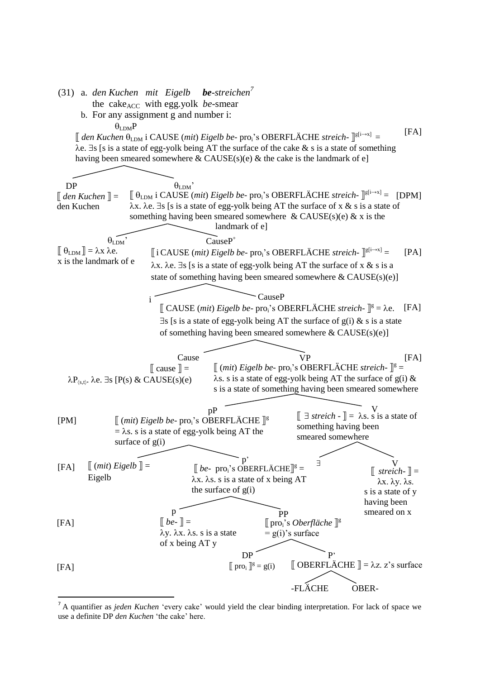- (31) a. *den Kuchen mit Eigelb be-streichen<sup>7</sup>* the cake<sub>ACC</sub> with egg.yolk *be*-smear
	- b. For any assignment g and number i:

$$
\theta_{\text{LDM}}P
$$
  
\n[ den Kuchen  $\theta_{\text{LDM}}$  i CAUSE (mit) *Eigelb be*- pro<sub>i</sub>'s OBERFLÄCHE *streich*- $\mathbb{I}^{g[i\rightarrow x]}$  =  
\n $\lambda e. \exists s$  [s is a state of egg-yolk being AT the surface of the cake & s is a state of something  
\nhaving been smeared somewhere & CAUSE(s)(e) & the cake is the landmark of e]



<sup>&</sup>lt;sup>7</sup> A quantifier as *jeden Kuchen* 'every cake' would yield the clear binding interpretation. For lack of space we  $A \vee C$ use a definite DP *den Kuchen* 'the cake' here.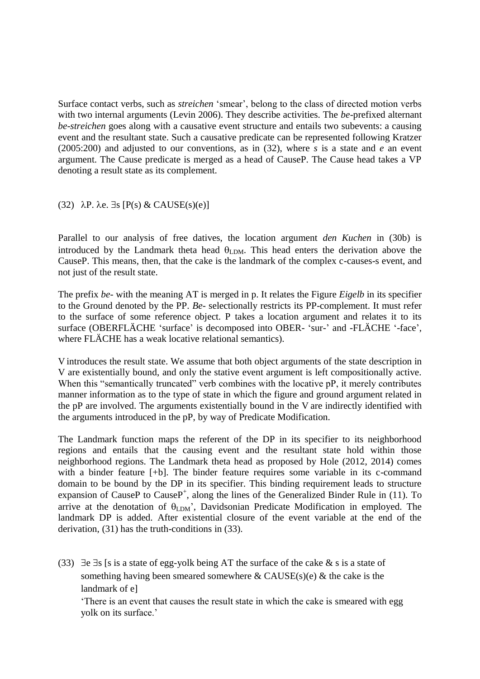Surface contact verbs, such as *streichen* 'smear', belong to the class of directed motion verbs with two internal arguments (Levin 2006). They describe activities. The *be*-prefixed alternant *be*-*streichen* goes along with a causative event structure and entails two subevents: a causing event and the resultant state. Such a causative predicate can be represented following Kratzer (2005:200) and adjusted to our conventions, as in (32), where *s* is a state and *e* an event argument. The Cause predicate is merged as a head of CauseP. The Cause head takes a VP denoting a result state as its complement.

(32)  $\lambda$ P.  $\lambda$ e.  $\exists$ s [P(s) & CAUSE(s)(e)]

Parallel to our analysis of free datives, the location argument *den Kuchen* in (30b) is introduced by the Landmark theta head  $\theta_{LDM}$ . This head enters the derivation above the CauseP. This means, then, that the cake is the landmark of the complex c-causes-s event, and not just of the result state.

The prefix *be-* with the meaning AT is merged in p. It relates the Figure *Eigelb* in its specifier to the Ground denoted by the PP. *Be-* selectionally restricts its PP-complement. It must refer to the surface of some reference object. P takes a location argument and relates it to its surface (OBERFLÄCHE 'surface' is decomposed into OBER- 'sur*-*' and -FLÄCHE '-face', where FLÄCHE has a weak locative relational semantics).

V introduces the result state. We assume that both object arguments of the state description in V are existentially bound, and only the stative event argument is left compositionally active. When this "semantically truncated" verb combines with the locative pP, it merely contributes manner information as to the type of state in which the figure and ground argument related in the pP are involved. The arguments existentially bound in the V are indirectly identified with the arguments introduced in the pP, by way of Predicate Modification.

The Landmark function maps the referent of the DP in its specifier to its neighborhood regions and entails that the causing event and the resultant state hold within those neighborhood regions. The Landmark theta head as proposed by Hole (2012, 2014) comes with a binder feature [+b]. The binder feature requires some variable in its c-command domain to be bound by the DP in its specifier. This binding requirement leads to structure expansion of CauseP to CauseP<sup>+</sup>, along the lines of the Generalized Binder Rule in (11). To arrive at the denotation of  $\theta_{\text{LDM}}$ , Davidsonian Predicate Modification in employed. The landmark DP is added. After existential closure of the event variable at the end of the derivation, (31) has the truth-conditions in (33).

(33)  $\exists e \exists s$  [s is a state of egg-yolk being AT the surface of the cake & s is a state of something having been smeared somewhere  $\&$  CAUSE(s)(e)  $\&$  the cake is the landmark of e]

'There is an event that causes the result state in which the cake is smeared with egg yolk on its surface.'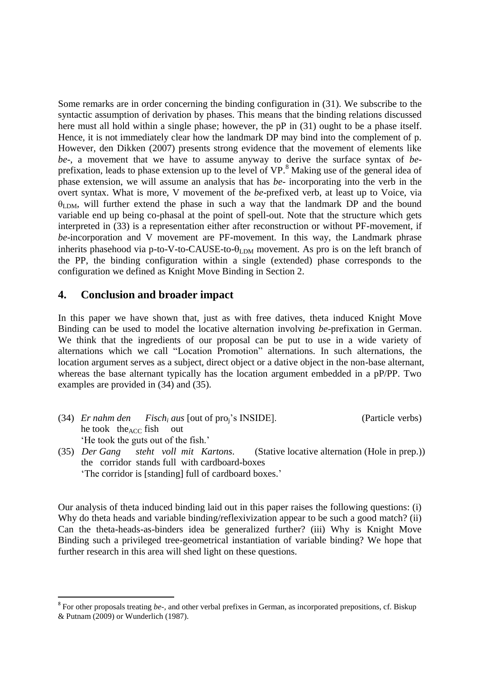Some remarks are in order concerning the binding configuration in (31). We subscribe to the syntactic assumption of derivation by phases. This means that the binding relations discussed here must all hold within a single phase; however, the pP in (31) ought to be a phase itself. Hence, it is not immediately clear how the landmark DP may bind into the complement of p. However, den Dikken (2007) presents strong evidence that the movement of elements like *be*-, a movement that we have to assume anyway to derive the surface syntax of *be*prefixation, leads to phase extension up to the level of VP. <sup>8</sup> Making use of the general idea of phase extension, we will assume an analysis that has *be*- incorporating into the verb in the overt syntax. What is more, V movement of the *be*-prefixed verb, at least up to Voice, via  $\theta_{LDM}$ , will further extend the phase in such a way that the landmark DP and the bound variable end up being co-phasal at the point of spell-out. Note that the structure which gets interpreted in (33) is a representation either after reconstruction or without PF-movement, if *be*-incorporation and V movement are PF-movement. In this way, the Landmark phrase inherits phasehood via p-to-V-to-CAUSE-to- $\theta_{\text{LDM}}$  movement. As pro is on the left branch of the PP, the binding configuration within a single (extended) phase corresponds to the configuration we defined as Knight Move Binding in Section 2.

### **4. Conclusion and broader impact**

-

In this paper we have shown that, just as with free datives, theta induced Knight Move Binding can be used to model the locative alternation involving *be*-prefixation in German. We think that the ingredients of our proposal can be put to use in a wide variety of alternations which we call "Location Promotion" alternations. In such alternations, the location argument serves as a subject, direct object or a dative object in the non-base alternant, whereas the base alternant typically has the location argument embedded in a pP/PP. Two examples are provided in (34) and (35).

- (34) *Er nahm den Fisch<sup>i</sup> aus* [out of proj's INSIDE]. (Particle verbs) he took the $_{ACC}$  fish out 'He took the guts out of the fish.'
- (35) *Der Gang steht voll mit Kartons*. (Stative locative alternation (Hole in prep.)) the corridor stands full with cardboard-boxes 'The corridor is [standing] full of cardboard boxes.'

Our analysis of theta induced binding laid out in this paper raises the following questions: (i) Why do theta heads and variable binding/reflexivization appear to be such a good match? (ii) Can the theta-heads-as-binders idea be generalized further? (iii) Why is Knight Move Binding such a privileged tree-geometrical instantiation of variable binding? We hope that further research in this area will shed light on these questions.

<sup>&</sup>lt;sup>8</sup> For other proposals treating *be-*, and other verbal prefixes in German, as incorporated prepositions, cf. Biskup & Putnam (2009) or Wunderlich (1987).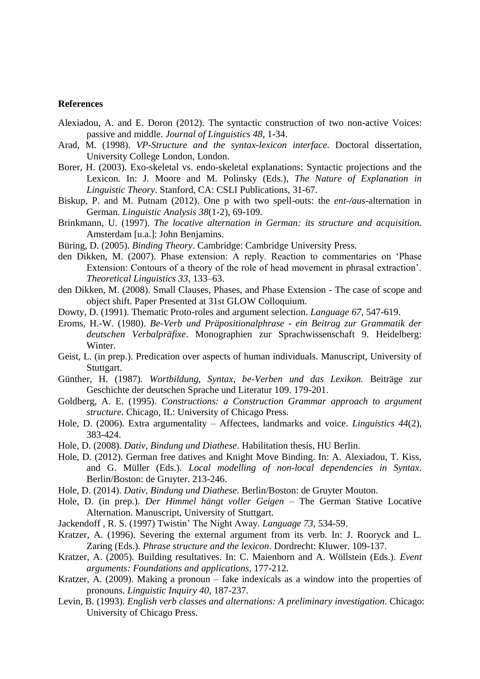### **References**

- Alexiadou, A. and E. Doron (2012). The syntactic construction of two non-active Voices: passive and middle. *Journal of Linguistics 48*, 1-34.
- Arad, M. (1998). *VP-Structure and the syntax-lexicon interface*. Doctoral dissertation, University College London, London.
- Borer, H. (2003). Exo-skeletal vs. endo-skeletal explanations: Syntactic projections and the Lexicon. In: J. Moore and M. Polinsky (Eds.), *The Nature of Explanation in Linguistic Theory*. Stanford, CA: CSLI Publications, 31-67.
- Biskup, P. and M. Putnam (2012). One p with two spell-outs: the *ent-/aus*-alternation in German. *Linguistic Analysis 38*(1-2), 69-109.
- Brinkmann, U. (1997). *The locative alternation in German: its structure and acquisition*. Amsterdam [u.a.]: John Benjamins.
- Büring, D. (2005). *Binding Theory*. Cambridge: Cambridge University Press.
- den Dikken, M. (2007). Phase extension: A reply. Reaction to commentaries on 'Phase Extension: Contours of a theory of the role of head movement in phrasal extraction'. *Theoretical Linguistics 33*, 133–63.
- den Dikken, M. (2008). Small Clauses, Phases, and Phase Extension The case of scope and object shift. Paper Presented at 31st GLOW Colloquium.
- Dowty, D. (1991). Thematic Proto-roles and argument selection. *Language 67*, 547-619.
- Eroms, H.-W. (1980). *Be-Verb und Präpositionalphrase - ein Beitrag zur Grammatik der deutschen Verbalpräfixe*. Monographien zur Sprachwissenschaft 9. Heidelberg: Winter.
- Geist, L. (in prep.). Predication over aspects of human individuals. Manuscript, University of Stuttgart.
- Günther, H. (1987). *Wortbildung, Syntax, be-Verben und das Lexikon.* Beiträge zur Geschichte der deutschen Sprache und Literatur 109. 179-201.
- Goldberg, A. E. (1995). *Constructions: a Construction Grammar approach to argument structure*. Chicago, IL: University of Chicago Press.
- Hole, D. (2006). Extra argumentality Affectees, landmarks and voice. *Linguistics 44*(2), 383-424.
- Hole, D. (2008). *Dativ, Bindung und Diathese*. Habilitation thesis, HU Berlin.
- Hole, D. (2012). German free datives and Knight Move Binding. In: A. Alexiadou, T. Kiss, and G. Müller (Eds.). *Local modelling of non-local dependencies in Syntax*. Berlin/Boston: de Gruyter. 213-246.
- Hole, D. (2014). *Dativ, Bindung und Diathese*. Berlin/Boston: de Gruyter Mouton.
- Hole, D. (in prep.). *Der Himmel hängt voller Geigen*  The German Stative Locative Alternation. Manuscript, University of Stuttgart.
- Jackendoff , R. S. (1997) Twistin' The Night Away. *Language 73*, 534-59.
- Kratzer, A. (1996). Severing the external argument from its verb. In: J. Rooryck and L. Zaring (Eds.). *Phrase structure and the lexicon*. Dordrecht: Kluwer. 109-137.
- Kratzer, A. (2005). Building resultatives. In: C. Maienborn and A. Wöllstein (Eds.). *Event arguments: Foundations and applications,* 177-212.
- Kratzer, A. (2009). Making a pronoun fake indexicals as a window into the properties of pronouns. *Linguistic Inquiry 40*, 187-237.
- Levin, B. (1993). *English verb classes and alternations: A preliminary investigation*. Chicago: University of Chicago Press.